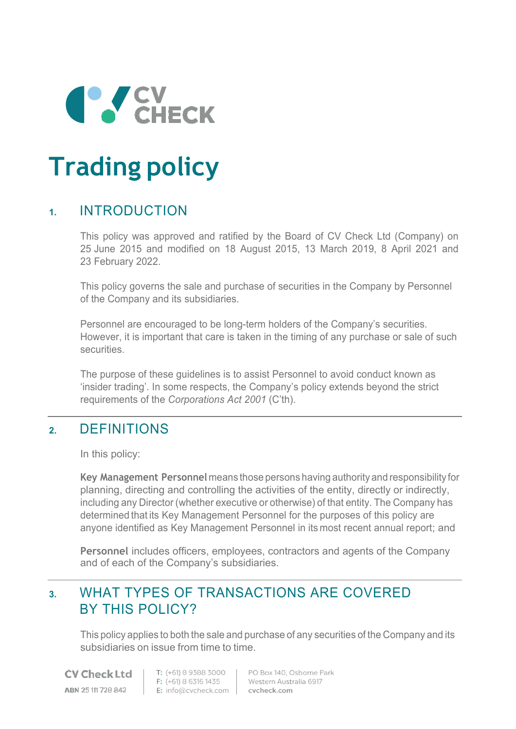

# **Trading policy**

## **1.** INTRODUCTION

This policy was approved and ratified by the Board of CV Check Ltd (Company) on 25 June 2015 and modified on 18 August 2015, 13 March 2019, 8 April 2021 and 23 February 2022.

This policy governs the sale and purchase of securities in the Company by Personnel of the Company and its subsidiaries.

Personnel are encouraged to be long-term holders of the Company's securities. However, it is important that care is taken in the timing of any purchase or sale of such securities.

The purpose of these guidelines is to assist Personnel to avoid conduct known as 'insider trading'. In some respects, the Company's policy extends beyond the strict requirements of the *Corporations Act 2001* (C'th).

# **2.** DEFINITIONS

In this policy:

**Key Management Personnel** means those persons having authority and responsibility for planning, directing and controlling the activities of the entity, directly or indirectly, including any Director (whether executive or otherwise) of that entity. The Company has determined that its Key Management Personnel for the purposes of this policy are anyone identified as Key Management Personnel in its most recent annual report; and

**Personnel** includes officers, employees, contractors and agents of the Company and of each of the Company's subsidiaries.

# **3.** WHAT TYPES OF TRANSACTIONS ARE COVERED BY THIS POLICY?

This policy applies to both the sale and purchase of any securities of the Company and its subsidiaries on issue from time to time.

**CV Check Ltd** ABN 25111728842

T: (+61) 8 9388 3000 F: (+61) 8 6316 1435 F: (+61) 8 6316 1435 Western Austr<br>E: info@cvcheck.com cvcheck.com

PO Box 140, Osborne Park Western Australia 6917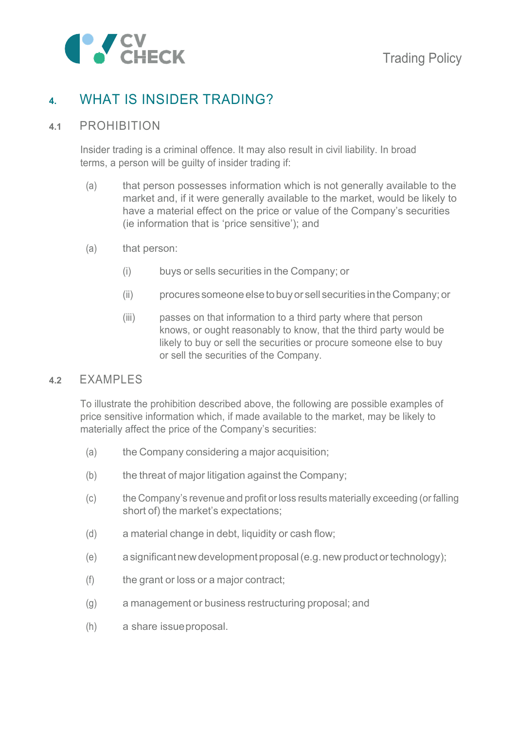

# **4.** WHAT IS INSIDER TRADING?

#### **4.1** PROHIBITION

Insider trading is a criminal offence. It may also result in civil liability. In broad terms, a person will be guilty of insider trading if:

- (a) that person possesses information which is not generally available to the market and, if it were generally available to the market, would be likely to have a material effect on the price or value of the Company's securities (ie information that is 'price sensitive'); and
- (a) that person:
	- (i) buys or sells securities in the Company; or
	- (ii) procures someone else to buy or sell securities in the Company; or
	- (iii) passes on that information to a third party where that person knows, or ought reasonably to know, that the third party would be likely to buy or sell the securities or procure someone else to buy or sell the securities of the Company.

#### **4.2** EXAMPLES

To illustrate the prohibition described above, the following are possible examples of price sensitive information which, if made available to the market, may be likely to materially affect the price of the Company's securities:

- (a) the Company considering a major acquisition;
- (b) the threat of major litigation against the Company;
- (c) the Company's revenue and profit or loss results materially exceeding (or falling short of) the market's expectations;
- (d) a material change in debt, liquidity or cash flow;
- (e) a significant new development proposal (e.g. new product or technology);
- (f) the grant or loss or a major contract;
- (g) a management or business restructuring proposal; and
- (h) a share issue proposal.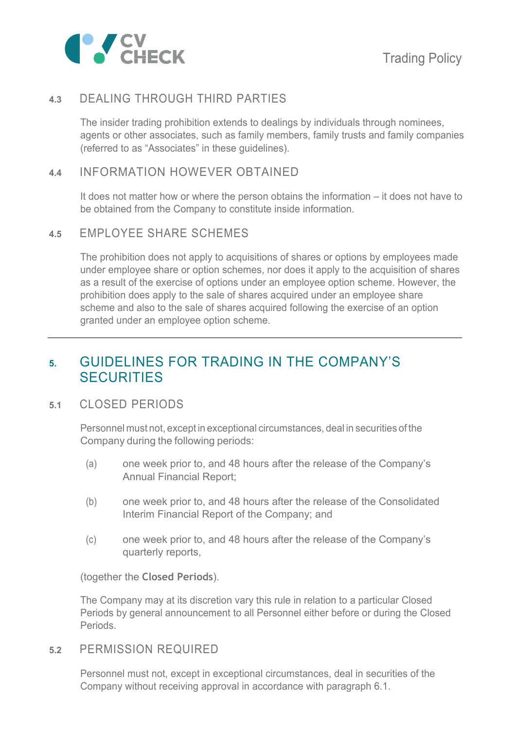

## **4.3** DEALING THROUGH THIRD PARTIES

The insider trading prohibition extends to dealings by individuals through nominees, agents or other associates, such as family members, family trusts and family companies (referred to as "Associates" in these guidelines).

#### **4.4** INFORMATION HOWEVER OBTAINED

It does not matter how or where the person obtains the information – it does not have to be obtained from the Company to constitute inside information.

#### **4.5** EMPLOYEE SHARE SCHEMES

The prohibition does not apply to acquisitions of shares or options by employees made under employee share or option schemes, nor does it apply to the acquisition of shares as a result of the exercise of options under an employee option scheme. However, the prohibition does apply to the sale of shares acquired under an employee share scheme and also to the sale of shares acquired following the exercise of an option granted under an employee option scheme.

## **5.** GUIDELINES FOR TRADING IN THE COMPANY'S **SECURITIES**

#### **5.1** CLOSED PERIODS

Personnel must not, except in exceptional circumstances, deal in securities of the Company during the following periods:

- (a) one week prior to, and 48 hours after the release of the Company's Annual Financial Report;
- (b) one week prior to, and 48 hours after the release of the Consolidated Interim Financial Report of the Company; and
- (c) one week prior to, and 48 hours after the release of the Company's quarterly reports,

(together the **Closed Periods**).

The Company may at its discretion vary this rule in relation to a particular Closed Periods by general announcement to all Personnel either before or during the Closed Periods.

**5.2** PERMISSION REQUIRED

Personnel must not, except in exceptional circumstances, deal in securities of the Company without receiving approval in accordance with paragraph 6.1.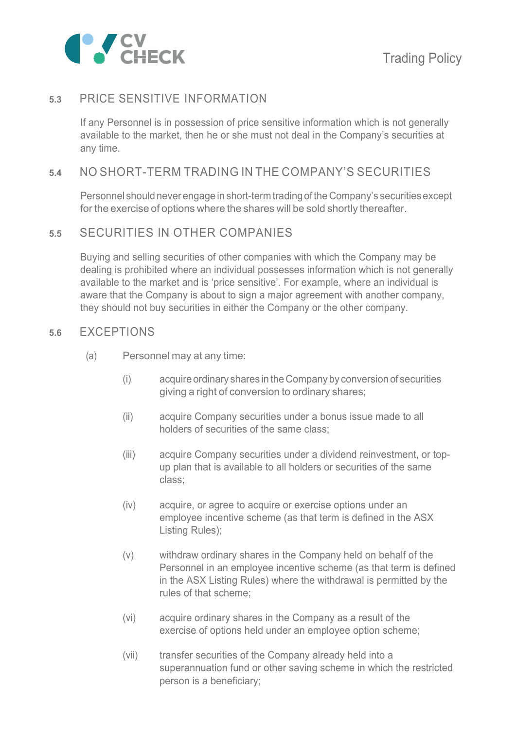

#### **5.3** PRICE SENSITIVE INFORMATION

If any Personnel is in possession of price sensitive information which is not generally available to the market, then he or she must not deal in the Company's securities at any time.

#### **5.4** NO SHORT-TERM TRADING IN THE COMPANY'S SECURITIES

Personnel should never engage in short-term trading of the Company's securities except for the exercise of options where the shares will be sold shortly thereafter.

#### **5.5** SECURITIES IN OTHER COMPANIES

Buying and selling securities of other companies with which the Company may be dealing is prohibited where an individual possesses information which is not generally available to the market and is 'price sensitive'. For example, where an individual is aware that the Company is about to sign a major agreement with another company, they should not buy securities in either the Company or the other company.

#### **5.6** EXCEPTIONS

- (a) Personnel may at any time:
	- (i) acquire ordinary shares in the Company by conversion of securities giving a right of conversion to ordinary shares;
	- (ii) acquire Company securities under a bonus issue made to all holders of securities of the same class;
	- (iii) acquire Company securities under a dividend reinvestment, or topup plan that is available to all holders or securities of the same class;
	- (iv) acquire, or agree to acquire or exercise options under an employee incentive scheme (as that term is defined in the ASX Listing Rules);
	- (v) withdraw ordinary shares in the Company held on behalf of the Personnel in an employee incentive scheme (as that term is defined in the ASX Listing Rules) where the withdrawal is permitted by the rules of that scheme;
	- (vi) acquire ordinary shares in the Company as a result of the exercise of options held under an employee option scheme;
	- (vii) transfer securities of the Company already held into a superannuation fund or other saving scheme in which the restricted person is a beneficiary;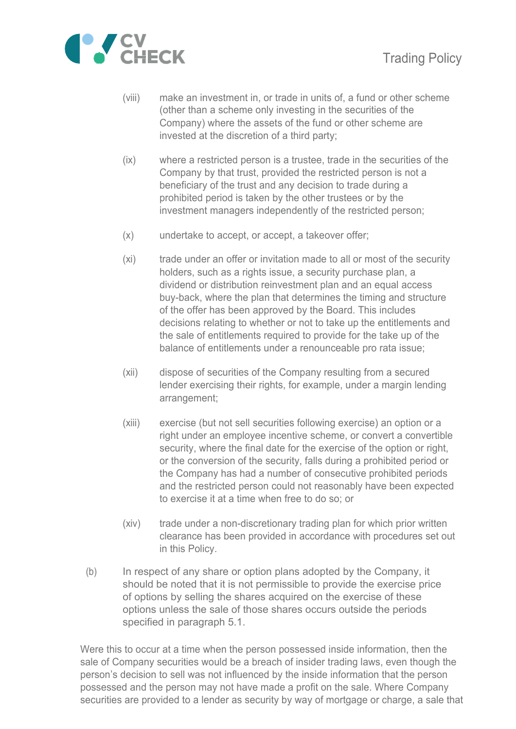

- (viii) make an investment in, or trade in units of, a fund or other scheme (other than a scheme only investing in the securities of the Company) where the assets of the fund or other scheme are invested at the discretion of a third party;
- (ix) where a restricted person is a trustee, trade in the securities of the Company by that trust, provided the restricted person is not a beneficiary of the trust and any decision to trade during a prohibited period is taken by the other trustees or by the investment managers independently of the restricted person;
- (x) undertake to accept, or accept, a takeover offer;
- (xi) trade under an offer or invitation made to all or most of the security holders, such as a rights issue, a security purchase plan, a dividend or distribution reinvestment plan and an equal access buy-back, where the plan that determines the timing and structure of the offer has been approved by the Board. This includes decisions relating to whether or not to take up the entitlements and the sale of entitlements required to provide for the take up of the balance of entitlements under a renounceable pro rata issue;
- (xii) dispose of securities of the Company resulting from a secured lender exercising their rights, for example, under a margin lending arrangement;
- (xiii) exercise (but not sell securities following exercise) an option or a right under an employee incentive scheme, or convert a convertible security, where the final date for the exercise of the option or right, or the conversion of the security, falls during a prohibited period or the Company has had a number of consecutive prohibited periods and the restricted person could not reasonably have been expected to exercise it at a time when free to do so; or
- (xiv) trade under a non-discretionary trading plan for which prior written clearance has been provided in accordance with procedures set out in this Policy.
- (b) In respect of any share or option plans adopted by the Company, it should be noted that it is not permissible to provide the exercise price of options by selling the shares acquired on the exercise of these options unless the sale of those shares occurs outside the periods specified in paragraph 5.1.

Were this to occur at a time when the person possessed inside information, then the sale of Company securities would be a breach of insider trading laws, even though the person's decision to sell was not influenced by the inside information that the person possessed and the person may not have made a profit on the sale. Where Company securities are provided to a lender as security by way of mortgage or charge, a sale that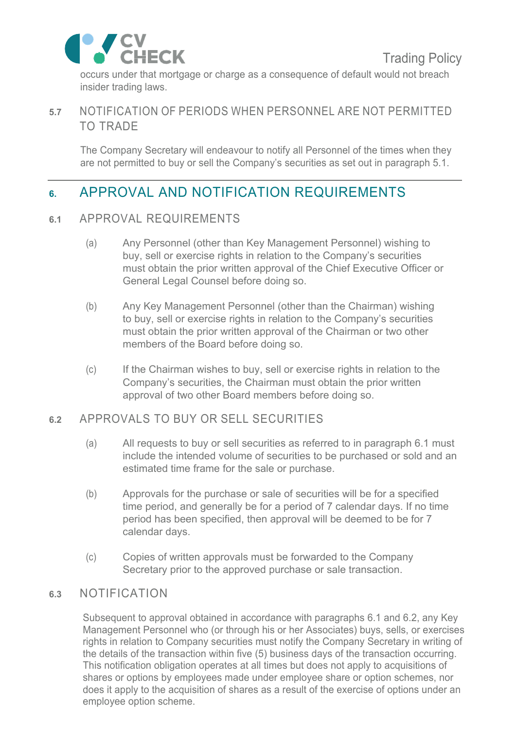occurs under that mortgage or charge as a consequence of default would not breach insider trading laws.

## **5.7** NOTIFICATION OF PERIODS WHEN PERSONNEL ARE NOT PERMITTED TO TRADE

The Company Secretary will endeavour to notify all Personnel of the times when they are not permitted to buy or sell the Company's securities as set out in paragraph 5.1.

# **6.** APPROVAL AND NOTIFICATION REQUIREMENTS

#### **6.1** APPROVAL REQUIREMENTS

- (a) Any Personnel (other than Key Management Personnel) wishing to buy, sell or exercise rights in relation to the Company's securities must obtain the prior written approval of the Chief Executive Officer or General Legal Counsel before doing so.
- (b) Any Key Management Personnel (other than the Chairman) wishing to buy, sell or exercise rights in relation to the Company's securities must obtain the prior written approval of the Chairman or two other members of the Board before doing so.
- (c) If the Chairman wishes to buy, sell or exercise rights in relation to the Company's securities, the Chairman must obtain the prior written approval of two other Board members before doing so.

## **6.2** APPROVALS TO BUY OR SELL SECURITIES

- (a) All requests to buy or sell securities as referred to in paragraph 6.1 must include the intended volume of securities to be purchased or sold and an estimated time frame for the sale or purchase.
- (b) Approvals for the purchase or sale of securities will be for a specified time period, and generally be for a period of 7 calendar days. If no time period has been specified, then approval will be deemed to be for 7 calendar days.
- (c) Copies of written approvals must be forwarded to the Company Secretary prior to the approved purchase or sale transaction.

## **6.3** NOTIFICATION

Subsequent to approval obtained in accordance with paragraphs 6.1 and 6.2, any Key Management Personnel who (or through his or her Associates) buys, sells, or exercises rights in relation to Company securities must notify the Company Secretary in writing of the details of the transaction within five (5) business days of the transaction occurring. This notification obligation operates at all times but does not apply to acquisitions of shares or options by employees made under employee share or option schemes, nor does it apply to the acquisition of shares as a result of the exercise of options under an employee option scheme.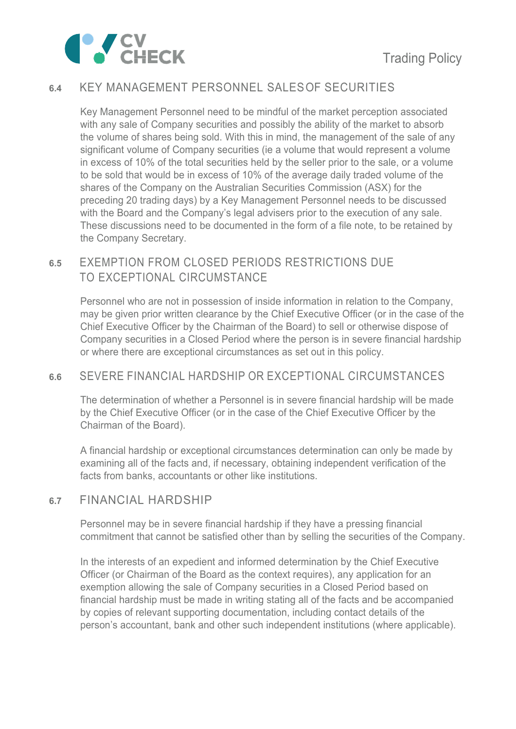

## **6.4** KEY MANAGEMENT PERSONNEL SALES OF SECURITIES

Key Management Personnel need to be mindful of the market perception associated with any sale of Company securities and possibly the ability of the market to absorb the volume of shares being sold. With this in mind, the management of the sale of any significant volume of Company securities (ie a volume that would represent a volume in excess of 10% of the total securities held by the seller prior to the sale, or a volume to be sold that would be in excess of 10% of the average daily traded volume of the shares of the Company on the Australian Securities Commission (ASX) for the preceding 20 trading days) by a Key Management Personnel needs to be discussed with the Board and the Company's legal advisers prior to the execution of any sale. These discussions need to be documented in the form of a file note, to be retained by the Company Secretary.

#### **6.5** EXEMPTION FROM CLOSED PERIODS RESTRICTIONS DUE TO EXCEPTIONAL CIRCUMSTANCE

Personnel who are not in possession of inside information in relation to the Company, may be given prior written clearance by the Chief Executive Officer (or in the case of the Chief Executive Officer by the Chairman of the Board) to sell or otherwise dispose of Company securities in a Closed Period where the person is in severe financial hardship or where there are exceptional circumstances as set out in this policy.

#### **6.6** SEVERE FINANCIAL HARDSHIP OR EXCEPTIONAL CIRCUMSTANCES

The determination of whether a Personnel is in severe financial hardship will be made by the Chief Executive Officer (or in the case of the Chief Executive Officer by the Chairman of the Board).

A financial hardship or exceptional circumstances determination can only be made by examining all of the facts and, if necessary, obtaining independent verification of the facts from banks, accountants or other like institutions.

#### **6.7** FINANCIAL HARDSHIP

Personnel may be in severe financial hardship if they have a pressing financial commitment that cannot be satisfied other than by selling the securities of the Company.

In the interests of an expedient and informed determination by the Chief Executive Officer (or Chairman of the Board as the context requires), any application for an exemption allowing the sale of Company securities in a Closed Period based on financial hardship must be made in writing stating all of the facts and be accompanied by copies of relevant supporting documentation, including contact details of the person's accountant, bank and other such independent institutions (where applicable).